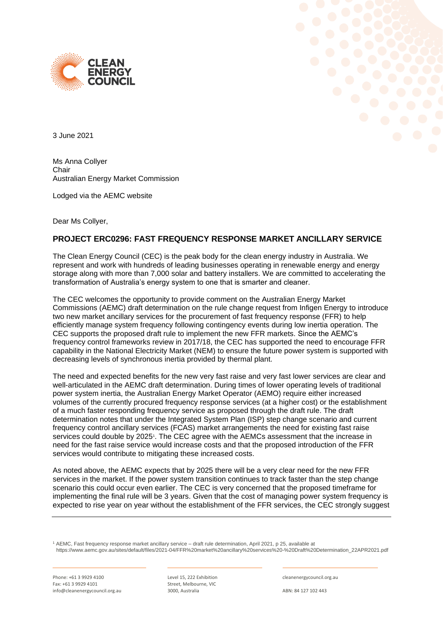



3 June 2021

Ms Anna Collyer Chair Australian Energy Market Commission

Lodged via the AEMC website

Dear Ms Collyer,

## **PROJECT ERC0296: FAST FREQUENCY RESPONSE MARKET ANCILLARY SERVICE**

The Clean Energy Council (CEC) is the peak body for the clean energy industry in Australia. We represent and work with hundreds of leading businesses operating in renewable energy and energy storage along with more than 7,000 solar and battery installers. We are committed to accelerating the transformation of Australia's energy system to one that is smarter and cleaner.

The CEC welcomes the opportunity to provide comment on the Australian Energy Market Commissions (AEMC) draft determination on the rule change request from Infigen Energy to introduce two new market ancillary services for the procurement of fast frequency response (FFR) to help efficiently manage system frequency following contingency events during low inertia operation. The CEC supports the proposed draft rule to implement the new FFR markets. Since the AEMC's frequency control frameworks review in 2017/18, the CEC has supported the need to encourage FFR capability in the National Electricity Market (NEM) to ensure the future power system is supported with decreasing levels of synchronous inertia provided by thermal plant.

The need and expected benefits for the new very fast raise and very fast lower services are clear and well-articulated in the AEMC draft determination. During times of lower operating levels of traditional power system inertia, the Australian Energy Market Operator (AEMO) require either increased volumes of the currently procured frequency response services (at a higher cost) or the establishment of a much faster responding frequency service as proposed through the draft rule. The draft determination notes that under the Integrated System Plan (ISP) step change scenario and current frequency control ancillary services (FCAS) market arrangements the need for existing fast raise services could double by 2025<sup>1</sup>. The CEC agree with the AEMCs assessment that the increase in need for the fast raise service would increase costs and that the proposed introduction of the FFR services would contribute to mitigating these increased costs.

As noted above, the AEMC expects that by 2025 there will be a very clear need for the new FFR services in the market. If the power system transition continues to track faster than the step change scenario this could occur even earlier. The CEC is very concerned that the proposed timeframe for implementing the final rule will be 3 years. Given that the cost of managing power system frequency is expected to rise year on year without the establishment of the FFR services, the CEC strongly suggest

<sup>1</sup> AEMC, Fast frequency response market ancillary service – draft rule determination, April 2021, p 25, available at https://www.aemc.gov.au/sites/default/files/2021-04/FFR%20market%20ancillary%20services%20-%20Draft%20Determination\_22APR2021.pdf

Phone: +61 3 9929 4100 Fax: +61 3 9929 4101 info@cleanenergycouncil.org.au

Level 15, 222 Exhibition Street, Melbourne, VIC 3000, Australia

cleanenergycouncil.org.au

ABN: 84 127 102 443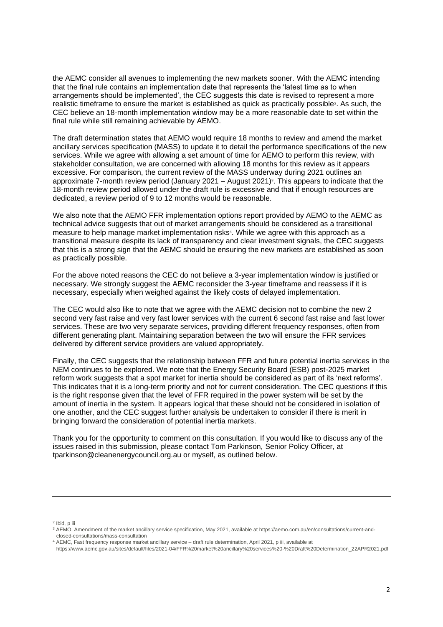the AEMC consider all avenues to implementing the new markets sooner. With the AEMC intending that the final rule contains an implementation date that represents the 'latest time as to when arrangements should be implemented', the CEC suggests this date is revised to represent a more realistic timeframe to ensure the market is established as quick as practically possible<sup>2</sup>. As such, the CEC believe an 18-month implementation window may be a more reasonable date to set within the final rule while still remaining achievable by AEMO.

The draft determination states that AEMO would require 18 months to review and amend the market ancillary services specification (MASS) to update it to detail the performance specifications of the new services. While we agree with allowing a set amount of time for AEMO to perform this review, with stakeholder consultation, we are concerned with allowing 18 months for this review as it appears excessive. For comparison, the current review of the MASS underway during 2021 outlines an approximate 7-month review period (January 2021 – August 2021)<sup>3</sup>. This appears to indicate that the 18-month review period allowed under the draft rule is excessive and that if enough resources are dedicated, a review period of 9 to 12 months would be reasonable.

We also note that the AEMO FFR implementation options report provided by AEMO to the AEMC as technical advice suggests that out of market arrangements should be considered as a transitional measure to help manage market implementation risks<sup>4</sup>. While we agree with this approach as a transitional measure despite its lack of transparency and clear investment signals, the CEC suggests that this is a strong sign that the AEMC should be ensuring the new markets are established as soon as practically possible.

For the above noted reasons the CEC do not believe a 3-year implementation window is justified or necessary. We strongly suggest the AEMC reconsider the 3-year timeframe and reassess if it is necessary, especially when weighed against the likely costs of delayed implementation.

The CEC would also like to note that we agree with the AEMC decision not to combine the new 2 second very fast raise and very fast lower services with the current 6 second fast raise and fast lower services. These are two very separate services, providing different frequency responses, often from different generating plant. Maintaining separation between the two will ensure the FFR services delivered by different service providers are valued appropriately.

Finally, the CEC suggests that the relationship between FFR and future potential inertia services in the NEM continues to be explored. We note that the Energy Security Board (ESB) post-2025 market reform work suggests that a spot market for inertia should be considered as part of its 'next reforms'. This indicates that it is a long-term priority and not for current consideration. The CEC questions if this is the right response given that the level of FFR required in the power system will be set by the amount of inertia in the system. It appears logical that these should not be considered in isolation of one another, and the CEC suggest further analysis be undertaken to consider if there is merit in bringing forward the consideration of potential inertia markets.

Thank you for the opportunity to comment on this consultation. If you would like to discuss any of the issues raised in this submission, please contact Tom Parkinson, Senior Policy Officer, at tparkinson@cleanenergycouncil.org.au or myself, as outlined below.

<sup>2</sup> Ibid, p iii

<sup>3</sup> AEMO, Amendment of the market ancillary service specification, May 2021, available at https://aemo.com.au/en/consultations/current-andclosed-consultations/mass-consultation

<sup>4</sup> AEMC, Fast frequency response market ancillary service – draft rule determination, April 2021, p iii, available at

https://www.aemc.gov.au/sites/default/files/2021-04/FFR%20market%20ancillary%20services%20-%20Draft%20Determination\_22APR2021.pdf